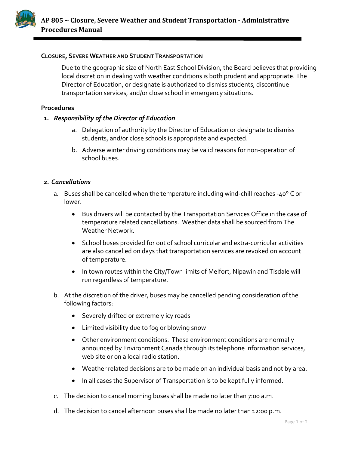

## **CLOSURE, SEVERE WEATHER AND STUDENT TRANSPORTATION**

Due to the geographic size of North East School Division, the Board believes that providing local discretion in dealing with weather conditions is both prudent and appropriate. The Director of Education, or designate is authorized to dismiss students, discontinue transportation services, and/or close school in emergency situations.

## **Procedures**

## *1. Responsibility of the Director of Education*

- a. Delegation of authority by the Director of Education or designate to dismiss students, and/or close schools is appropriate and expected.
- b. Adverse winter driving conditions may be valid reasons for non-operation of school buses.

## *2. Cancellations*

- a. Buses shall be cancelled when the temperature including wind-chill reaches -40° C or lower.
	- Bus drivers will be contacted by the Transportation Services Office in the case of temperature related cancellations. Weather data shall be sourced from The Weather Network.
	- School buses provided for out of school curricular and extra-curricular activities are also cancelled on days that transportation services are revoked on account of temperature.
	- In town routes within the City/Town limits of Melfort, Nipawin and Tisdale will run regardless of temperature.
- b. At the discretion of the driver, buses may be cancelled pending consideration of the following factors:
	- Severely drifted or extremely icy roads
	- Limited visibility due to fog or blowing snow
	- Other environment conditions. These environment conditions are normally announced by Environment Canada through its telephone information services, web site or on a local radio station.
	- Weather related decisions are to be made on an individual basis and not by area.
	- In all cases the Supervisor of Transportation is to be kept fully informed.
- c. The decision to cancel morning buses shall be made no later than 7:00 a.m.
- d. The decision to cancel afternoon buses shall be made no later than 12:00 p.m.